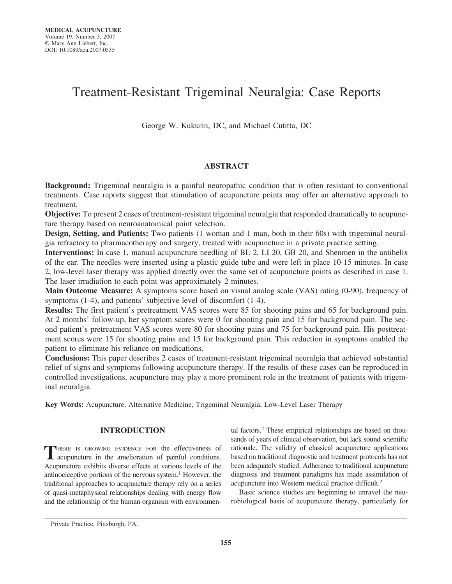# Treatment-Resistant Trigeminal Neuralgia: Case Reports

George W. Kukurin, DC, and Michael Cutitta, DC

# **ABSTRACT**

**Background:** Trigeminal neuralgia is a painful neuropathic condition that is often resistant to conventional treatments. Case reports suggest that stimulation of acupuncture points may offer an alternative approach to treatment.

**Objective:** To present 2 cases of treatment-resistant trigeminal neuralgia that responded dramatically to acupuncture therapy based on neuroanatomical point selection.

**Design, Setting, and Patients:** Two patients (1 woman and 1 man, both in their 60s) with trigeminal neuralgia refractory to pharmacotherapy and surgery, treated with acupuncture in a private practice setting.

**Interventions:** In case 1, manual acupuncture needling of BL 2, LI 20, GB 20, and Shenmen in the antihelix of the ear. The needles were inserted using a plastic guide tube and were left in place 10-15 minutes. In case 2, low-level laser therapy was applied directly over the same set of acupuncture points as described in case 1. The laser irradiation to each point was approximately 2 minutes.

**Main Outcome Measure:** A symptoms score based on visual analog scale (VAS) rating (0-90), frequency of symptoms (1-4), and patients' subjective level of discomfort (1-4).

**Results:** The first patient's pretreatment VAS scores were 85 for shooting pains and 65 for background pain. At 2 months' follow-up, her symptom scores were 0 for shooting pain and 15 for background pain. The second patient's pretreatment VAS scores were 80 for shooting pains and 75 for background pain. His posttreatment scores were 15 for shooting pains and 15 for background pain. This reduction in symptoms enabled the patient to eliminate his reliance on medications.

**Conclusions:** This paper describes 2 cases of treatment-resistant trigeminal neuralgia that achieved substantial relief of signs and symptoms following acupuncture therapy. If the results of these cases can be reproduced in controlled investigations, acupuncture may play a more prominent role in the treatment of patients with trigeminal neuralgia.

**Key Words:** Acupuncture, Alternative Medicine, Trigeminal Neuralgia, Low-Level Laser Therapy

# **INTRODUCTION**

**T**HERE IS GROWING EVIDENCE FOR the effectiveness of acupuncture in the amelioration of painful conditions. Acupuncture exhibits diverse effects at various levels of the antinociceptive portions of the nervous system.<sup>1</sup> However, the traditional approaches to acupuncture therapy rely on a series of quasi-metaphysical relationships dealing with energy flow and the relationship of the human organism with environmental factors.2 These empirical relationships are based on thousands of years of clinical observation, but lack sound scientific rationale. The validity of classical acupuncture applications based on traditional diagnostic and treatment protocols has not been adequately studied. Adherence to traditional acupuncture diagnosis and treatment paradigms has made assimilation of acupuncture into Western medical practice difficult.2

Basic science studies are beginning to unravel the neurobiological basis of acupuncture therapy, particularly for

Private Practice, Pittsburgh, PA.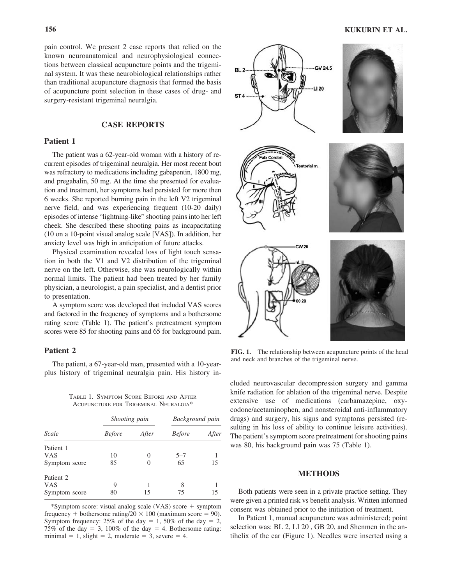pain control. We present 2 case reports that relied on the known neuroanatomical and neurophysiological connections between classical acupuncture points and the trigeminal system. It was these neurobiological relationships rather than traditional acupuncture diagnosis that formed the basis of acupuncture point selection in these cases of drug- and surgery-resistant trigeminal neuralgia.

## **CASE REPORTS**

# **Patient 1**

The patient was a 62-year-old woman with a history of recurrent episodes of trigeminal neuralgia. Her most recent bout was refractory to medications including gabapentin, 1800 mg, and pregabalin, 50 mg. At the time she presented for evaluation and treatment, her symptoms had persisted for more then 6 weeks. She reported burning pain in the left V2 trigeminal nerve field, and was experiencing frequent (10-20 daily) episodes of intense "lightning-like" shooting pains into her left cheek. She described these shooting pains as incapacitating (10 on a 10-point visual analog scale [VAS]). In addition, her anxiety level was high in anticipation of future attacks.

Physical examination revealed loss of light touch sensation in both the V1 and V2 distribution of the trigeminal nerve on the left. Otherwise, she was neurologically within normal limits. The patient had been treated by her family physician, a neurologist, a pain specialist, and a dentist prior to presentation.

A symptom score was developed that included VAS scores and factored in the frequency of symptoms and a bothersome rating score (Table 1). The patient's pretreatment symptom scores were 85 for shooting pains and 65 for background pain.

## **Patient 2**

The patient, a 67-year-old man, presented with a 10-yearplus history of trigeminal neuralgia pain. His history in-

TABLE 1. SYMPTOM SCORE BEFORE AND AFTER ACUPUNCTURE FOR TRIGEMINAL NEURALGIA\*

| Scale                | Shooting pain |          | Background pain |       |
|----------------------|---------------|----------|-----------------|-------|
|                      | <i>Before</i> | After    | <b>Before</b>   | After |
| Patient 1            |               |          |                 |       |
| <b>VAS</b>           | 10            | $\theta$ | $5 - 7$         |       |
| Symptom score        | 85            |          | 65              | 15    |
| Patient <sub>2</sub> |               |          |                 |       |
| <b>VAS</b>           | 9             |          | 8               |       |
| Symptom score        | 80            | 15       | 75              | 15    |

\*Symptom score: visual analog scale (VAS) score + symptom frequency + bothersome rating/ $20 \times 100$  (maximum score = 90). Symptom frequency: 25% of the day  $= 1$ , 50% of the day  $= 2$ , 75% of the day  $= 3$ , 100% of the day  $= 4$ . Bothersome rating: minimal  $= 1$ , slight  $= 2$ , moderate  $= 3$ , severe  $= 4$ .



**FIG. 1.** The relationship between acupuncture points of the head and neck and branches of the trigeminal nerve.

cluded neurovascular decompression surgery and gamma knife radiation for ablation of the trigeminal nerve. Despite extensive use of medications (carbamazepine, oxycodone/acetaminophen, and nonsteroidal anti-inflammatory drugs) and surgery, his signs and symptoms persisted (resulting in his loss of ability to continue leisure activities). The patient's symptom score pretreatment for shooting pains was 80, his background pain was 75 (Table 1).

## **METHODS**

Both patients were seen in a private practice setting. They were given a printed risk vs benefit analysis. Written informed consent was obtained prior to the initiation of treatment.

In Patient 1, manual acupuncture was administered; point selection was: BL 2, LI 20 , GB 20, and Shenmen in the antihelix of the ear (Figure 1). Needles were inserted using a